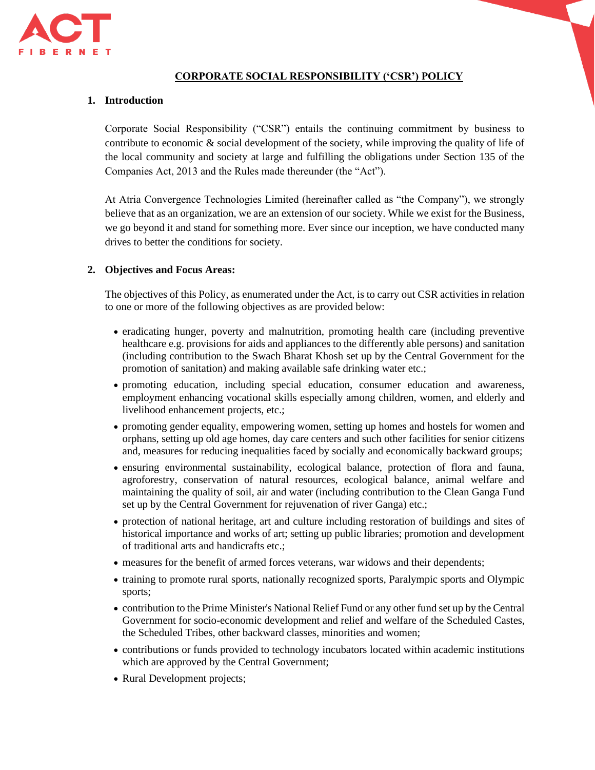

# **CORPORATE SOCIAL RESPONSIBILITY ('CSR') POLICY**

## **1. Introduction**

Corporate Social Responsibility ("CSR") entails the continuing commitment by business to contribute to economic & social development of the society, while improving the quality of life of the local community and society at large and fulfilling the obligations under Section 135 of the Companies Act, 2013 and the Rules made thereunder (the "Act").

At Atria Convergence Technologies Limited (hereinafter called as "the Company"), we strongly believe that as an organization, we are an extension of our society. While we exist for the Business, we go beyond it and stand for something more. Ever since our inception, we have conducted many drives to better the conditions for society.

## **2. Objectives and Focus Areas:**

The objectives of this Policy, as enumerated under the Act, is to carry out CSR activities in relation to one or more of the following objectives as are provided below:

- eradicating hunger, poverty and malnutrition, promoting health care (including preventive healthcare e.g. provisions for aids and appliances to the differently able persons) and sanitation (including contribution to the Swach Bharat Khosh set up by the Central Government for the promotion of sanitation) and making available safe drinking water etc.;
- promoting education, including special education, consumer education and awareness, employment enhancing vocational skills especially among children, women, and elderly and livelihood enhancement projects, etc.;
- promoting gender equality, empowering women, setting up homes and hostels for women and orphans, setting up old age homes, day care centers and such other facilities for senior citizens and, measures for reducing inequalities faced by socially and economically backward groups;
- ensuring environmental sustainability, ecological balance, protection of flora and fauna, agroforestry, conservation of natural resources, ecological balance, animal welfare and maintaining the quality of soil, air and water (including contribution to the Clean Ganga Fund set up by the Central Government for rejuvenation of river Ganga) etc.;
- protection of national heritage, art and culture including restoration of buildings and sites of historical importance and works of art; setting up public libraries; promotion and development of traditional arts and handicrafts etc.;
- measures for the benefit of armed forces veterans, war widows and their dependents;
- training to promote rural sports, nationally recognized sports, Paralympic sports and Olympic sports;
- contribution to the Prime Minister's National Relief Fund or any other fund set up by the Central Government for socio-economic development and relief and welfare of the Scheduled Castes, the Scheduled Tribes, other backward classes, minorities and women;
- contributions or funds provided to technology incubators located within academic institutions which are approved by the Central Government;
- Rural Development projects;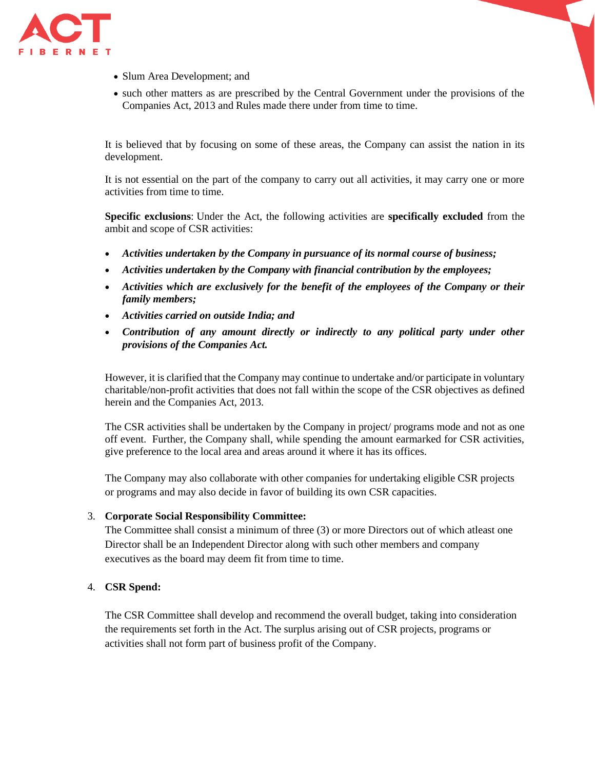

- Slum Area Development; and
- such other matters as are prescribed by the Central Government under the provisions of the Companies Act, 2013 and Rules made there under from time to time.

It is believed that by focusing on some of these areas, the Company can assist the nation in its development.

It is not essential on the part of the company to carry out all activities, it may carry one or more activities from time to time.

**Specific exclusions**: Under the Act, the following activities are **specifically excluded** from the ambit and scope of CSR activities:

- *Activities undertaken by the Company in pursuance of its normal course of business;*
- *Activities undertaken by the Company with financial contribution by the employees;*
- *Activities which are exclusively for the benefit of the employees of the Company or their family members;*
- *Activities carried on outside India; and*
- *Contribution of any amount directly or indirectly to any political party under other provisions of the Companies Act.*

However, it is clarified that the Company may continue to undertake and/or participate in voluntary charitable/non-profit activities that does not fall within the scope of the CSR objectives as defined herein and the Companies Act, 2013.

The CSR activities shall be undertaken by the Company in project/ programs mode and not as one off event. Further, the Company shall, while spending the amount earmarked for CSR activities, give preference to the local area and areas around it where it has its offices.

The Company may also collaborate with other companies for undertaking eligible CSR projects or programs and may also decide in favor of building its own CSR capacities.

## 3. **Corporate Social Responsibility Committee:**

The Committee shall consist a minimum of three (3) or more Directors out of which atleast one Director shall be an Independent Director along with such other members and company executives as the board may deem fit from time to time.

## 4. **CSR Spend:**

The CSR Committee shall develop and recommend the overall budget, taking into consideration the requirements set forth in the Act. The surplus arising out of CSR projects, programs or activities shall not form part of business profit of the Company.